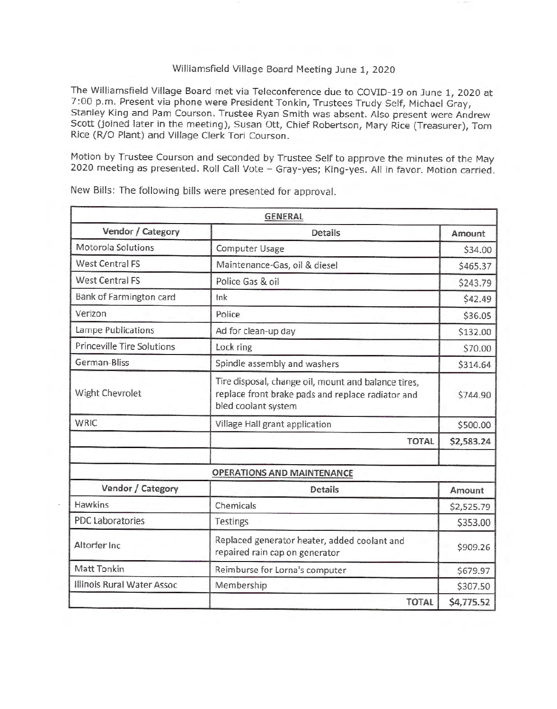## Williamsfield Village Board Meeting June 1, 2020

The Williamsfield Village Board met via Teleconference due to COVID-19 on June 1, 2020 at 7:00 p.m. Present via phone were President Tonkin, Trustees Trudy Self, Michael Gray, Stanley King and Pam Courson. Trustee Ryan Smith was absent. Also present were Andrew Scott (joined later in the meeting), Susan Ott, Chief Robertson, Mary Rice (Treasurer), Tom Rice (R/0 Plant) and Village Clerk Tori Courson.

Motion by Trustee Courson and seconded by Trustee Self to approve the minutes of the May 2020 meeting as presented. Roll Call Vote - Gray-yes; King-yes. All in favor. Motion carried.

|                                   | <b>GENERAL</b>                                                                                                                  |            |
|-----------------------------------|---------------------------------------------------------------------------------------------------------------------------------|------------|
| Vendor / Category                 | <b>Details</b>                                                                                                                  | Amount     |
| Motorola Solutions                | Computer Usage                                                                                                                  | \$34.00    |
| <b>West Central FS</b>            | Maintenance-Gas, oil & diesel                                                                                                   | \$465.37   |
| <b>West Central FS</b>            | Police Gas & oil                                                                                                                | \$243.79   |
| Bank of Farmington card           | lnk                                                                                                                             | \$42.49    |
| Verizon                           | Police                                                                                                                          | \$36.05    |
| Lampe Publications                | Ad for clean-up day                                                                                                             | \$132.00   |
| <b>Princeville Tire Solutions</b> | Lock ring                                                                                                                       | \$70.00    |
| German-Bliss                      | Spindle assembly and washers                                                                                                    | \$314.64   |
| Wight Chevrolet                   | Tire disposal, change oil, mount and balance tires,<br>replace front brake pads and replace radiator and<br>bled coolant system | \$744.90   |
| <b>WRIC</b>                       | Village Hall grant application                                                                                                  | \$500.00   |
|                                   | <b>TOTAL</b>                                                                                                                    | \$2,583.24 |
|                                   | <b>OPERATIONS AND MAINTENANCE</b>                                                                                               |            |
| Vendor / Category                 | <b>Details</b>                                                                                                                  | Amount     |
| <b>Hawkins</b>                    | Chemicals                                                                                                                       | \$2,525.79 |
| <b>PDC Laboratories</b>           | Testings                                                                                                                        | \$353.00   |
| Altorfer Inc.                     | Replaced generator heater, added coolant and<br>repaired rain cap on generator                                                  | \$909.26   |
| Matt Tonkin                       | Reimburse for Lorna's computer                                                                                                  | \$679.97   |
| Illinois Rural Water Assoc        | Membership                                                                                                                      | \$307.50   |
|                                   | <b>TOTAL</b>                                                                                                                    | \$4,775.52 |

New Bills: The following bills were presented for approval.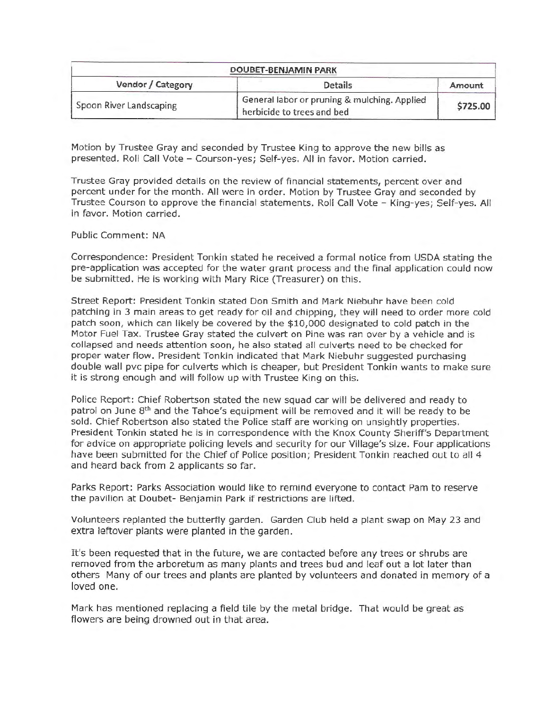| DOUBET-BENJAMIN PARK    |                                                                            |          |  |
|-------------------------|----------------------------------------------------------------------------|----------|--|
| Vendor / Category       | <b>Details</b>                                                             | Amount   |  |
| Spoon River Landscaping | General labor or pruning & mulching. Applied<br>herbicide to trees and bed | \$725.00 |  |

Motion by Trustee Gray and seconded by Trustee King to approve the new bills as presented. Roll Call Vote - Courson-yes; Self-yes. All in favor. Motion carried.

Trustee Gray provided details on the review of financial statements, percent over and percent under for the month. All were in order. Motion by Trustee Gray and seconded by Trustee Courson to approve the financial statements. Roll Call Vote - King-yes; Self-yes. All in favor. Motion carried.

## Public Comment: NA

Correspondence: President Tonkin stated he received a formal notice from USDA stating the pre-application was accepted for the water grant process and the final application could now be submitted. He is working with Mary Rice (Treasurer) on this.

Street Report: President Tonkin stated Don Smith and Mark Niebuhr have been cold patching in 3 main areas to get ready for oil and chipping, they will need to order more cold patch soon, which can likely be covered by the \$10,000 designated to cold patch in the Motor Fuel Tax. Trustee Gray stated the culvert on Pine was ran over by a vehicle and is collapsed and needs attention soon, he also stated all culverts need to be checked for proper water flow. President Tonkin indicated that Mark Niebuhr suggested purchasing double wall pvc pipe for culverts which is cheaper, but President Tonkin wants to make sure it is strong enough and will follow up with Trustee King on this.

Police Report: Chief Robertson stated the new squad car will be delivered and ready to patrol on June 8th and the Tahoe's equipment will be removed and it will be ready to be sold. Chief Robertson also stated the Police staff are working on unsightly properties. President Tonkin stated he is in correspondence with the Knox County Sheriff's Department for advice on appropriate policing levels and security for our Village's size. Four applications have been submitted for the Chief of Police position; President Tonkin reached out to all 4 and heard back from 2 applicants so far.

Parks Report: Parks Association would like to remind everyone to contact Pam to reserve the pavilion at Doubet- Benjamin Park if restrictions are lifted.

Volunteers replanted the butterfly garden. Garden Club held a plant swap on May 23 and extra leftover plants were planted in the garden.

It's been requested that in the future, we are contacted before any trees or shrubs are removed from the arboretum as many plants and trees bud and leaf out a lot later than others Many of our trees and plants are planted by volunteers and donated in memory of a loved one.

Mark has mentioned replacing a field tile by the metal bridge. That would be great as flowers are being drowned out in that area.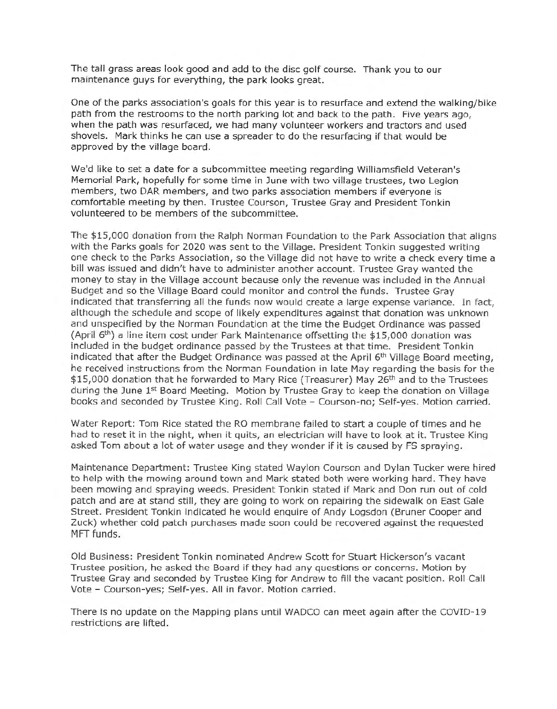The tall grass areas look good and add to the disc golf course. Thank you to our maintenance guys for everything, the park looks great.

One of the parks association's goals for this year is to resurface and extend the walking/bike path from the restrooms to the north parking lot and back to the path. Five years ago, when the path was resurfaced, we had many volunteer workers and tractors and used shovels. Mark thinks he can use a spreader to do the resurfacing if that would be approved by the village board.

We'd like to set a date for a subcommittee meeting regarding Williamsfield Veteran's Memorial Park, hopefully for some time in June with two village trustees, two Legion members, two DAR members, and two parks association members if everyone is comfortable meeting by then. Trustee Courson, Trustee Gray and President Tonkin volunteered to be members of the subcommittee.

The \$15,000 donation from the Ralph Norman Foundation to the Park Association that aligns with the Parks goals for 2020 was sent to the Village. President Tonkin suggested writing one check to the Parks Association, so the Village did not have to write a check every time a bill was issued and didn't have to administer another account. Trustee Gray wanted the money to stay in the Village account because only the revenue was included in the Annual Budget and so the Village Board could monitor and control the funds. Trustee Gray indicated that transferring all the funds now would create a large expense variance. In fact, although the schedule and scope of likely expenditures against that donation was unknown and unspecified by the Norman Foundation at the time the Budget Ordinance was passed (April 6<sup>th</sup>) a line item cost under Park Maintenance offsetting the \$15,000 donation was included in the budget ordinance passed by the Trustees at that time. President Tonkin indicated that after the Budget Ordinance was passed at the April  $6<sup>th</sup>$  Village Board meeting, he received instructions from the Norman Foundation in late May regarding the basis for the \$15,000 donation that he forwarded to Mary Rice (Treasurer) May 26<sup>th</sup> and to the Trustees during the June 1st Board Meeting. Motion by Trustee Gray to keep the donation on Village books and seconded by Trustee King. Roll Call Vote - Courson-no; Self-yes. Motion carried.

Water Report: Tom Rice stated the RO membrane failed to start a couple of times and he had to reset it in the night, when it quits, an electrician will have to look at it. Trustee King asked Tom about a lot of water usage and they wonder if it is caused by FS spraying.

Maintenance Department: Trustee King stated Waylon Courson and Dylan Tucker were hired to help with the mowing around town and Mark stated both were working hard. They have been mowing and spraying weeds. President Tonkin stated if Mark and Don run out of cold patch and are at stand still, they are going to work on repairing the sidewalk on East Gale Street. President Tonkin indicated he would enquire of Andy Logsdon (Bruner Cooper and Zuck) whether cold patch purchases made soon could be recovered against the requested MFT funds.

Old Business: President Tonkin nominated Andrew Scott for Stuart Hickerson's vacant Trustee position, he asked the Board if they had any questions or concerns. Motion by Trustee Gray and seconded by Trustee King for Andrew to fill the vacant position. Roll Call Vote - Courson-yes; Self-yes. All in favor. Motion carried.

There is no update on the Mapping plans until WADCO can meet again after the COVID-19 restrictions are lifted.